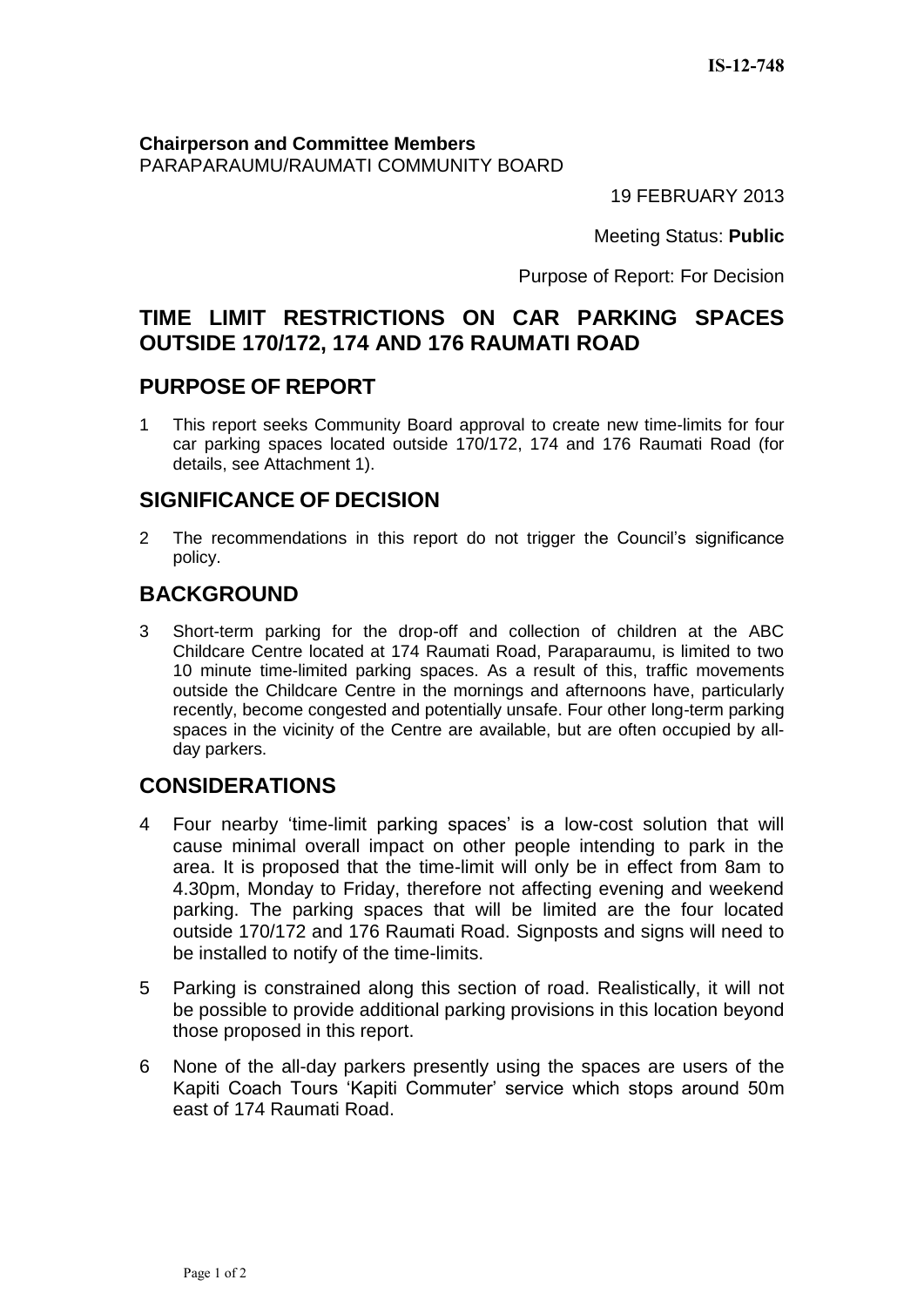**Chairperson and Committee Members** PARAPARAUMU/RAUMATI COMMUNITY BOARD

19 FEBRUARY 2013

Meeting Status: **Public**

Purpose of Report: For Decision

# **TIME LIMIT RESTRICTIONS ON CAR PARKING SPACES OUTSIDE 170/172, 174 AND 176 RAUMATI ROAD**

## **PURPOSE OF REPORT**

1 This report seeks Community Board approval to create new time-limits for four car parking spaces located outside 170/172, 174 and 176 Raumati Road (for details, see Attachment 1).

## **SIGNIFICANCE OF DECISION**

2 The recommendations in this report do not trigger the Council's significance policy.

# **BACKGROUND**

3 Short-term parking for the drop-off and collection of children at the ABC Childcare Centre located at 174 Raumati Road, Paraparaumu, is limited to two 10 minute time-limited parking spaces. As a result of this, traffic movements outside the Childcare Centre in the mornings and afternoons have, particularly recently, become congested and potentially unsafe. Four other long-term parking spaces in the vicinity of the Centre are available, but are often occupied by allday parkers.

## **CONSIDERATIONS**

- 4 Four nearby 'time-limit parking spaces' is a low-cost solution that will cause minimal overall impact on other people intending to park in the area. It is proposed that the time-limit will only be in effect from 8am to 4.30pm, Monday to Friday, therefore not affecting evening and weekend parking. The parking spaces that will be limited are the four located outside 170/172 and 176 Raumati Road. Signposts and signs will need to be installed to notify of the time-limits.
- 5 Parking is constrained along this section of road. Realistically, it will not be possible to provide additional parking provisions in this location beyond those proposed in this report.
- 6 None of the all-day parkers presently using the spaces are users of the Kapiti Coach Tours 'Kapiti Commuter' service which stops around 50m east of 174 Raumati Road.